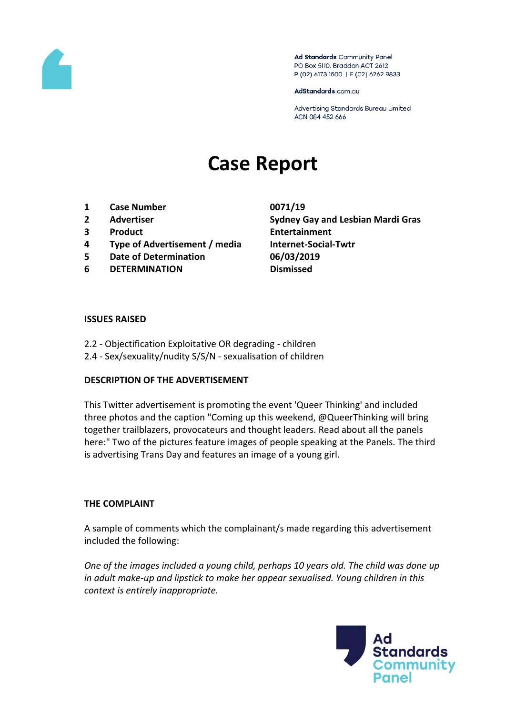

Ad Standards Community Panel PO Box 5110, Braddon ACT 2612 P (02) 6173 1500 | F (02) 6262 9833

AdStandards.com.au

Advertising Standards Bureau Limited ACN 084 452 666

# **Case Report**

- **1 Case Number 0071/19**
- 
- 
- **4 Type of Advertisement / media Internet-Social-Twtr**
- **5 Date of Determination 06/03/2019**
- **6 DETERMINATION Dismissed**

**2 Advertiser Sydney Gay and Lesbian Mardi Gras 3 Product Entertainment**

## **ISSUES RAISED**

- 2.2 Objectification Exploitative OR degrading children
- 2.4 Sex/sexuality/nudity S/S/N sexualisation of children

## **DESCRIPTION OF THE ADVERTISEMENT**

This Twitter advertisement is promoting the event 'Queer Thinking' and included three photos and the caption "Coming up this weekend, @QueerThinking will bring together trailblazers, provocateurs and thought leaders. Read about all the panels here:" Two of the pictures feature images of people speaking at the Panels. The third is advertising Trans Day and features an image of a young girl.

## **THE COMPLAINT**

A sample of comments which the complainant/s made regarding this advertisement included the following:

*One of the images included a young child, perhaps 10 years old. The child was done up in adult make-up and lipstick to make her appear sexualised. Young children in this context is entirely inappropriate.*

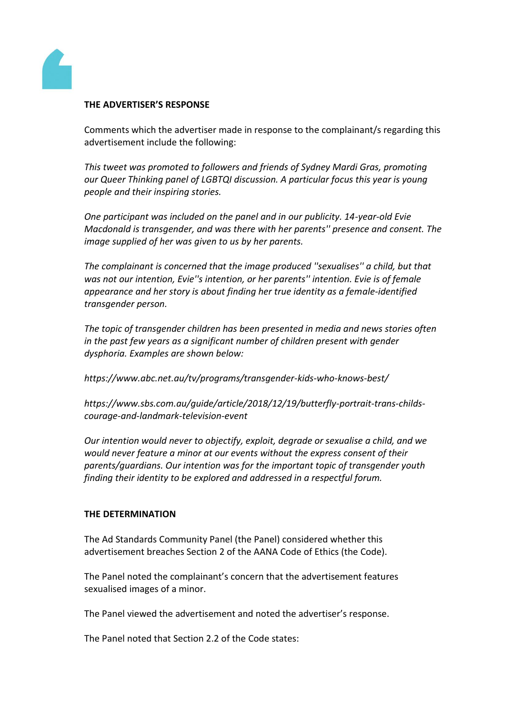

## **THE ADVERTISER'S RESPONSE**

Comments which the advertiser made in response to the complainant/s regarding this advertisement include the following:

*This tweet was promoted to followers and friends of Sydney Mardi Gras, promoting our Queer Thinking panel of LGBTQI discussion. A particular focus this year is young people and their inspiring stories.*

*One participant was included on the panel and in our publicity. 14-year-old Evie Macdonald is transgender, and was there with her parents'' presence and consent. The image supplied of her was given to us by her parents.*

*The complainant is concerned that the image produced ''sexualises'' a child, but that was not our intention, Evie''s intention, or her parents'' intention. Evie is of female appearance and her story is about finding her true identity as a female-identified transgender person.*

*The topic of transgender children has been presented in media and news stories often in the past few years as a significant number of children present with gender dysphoria. Examples are shown below:*

*https://www.abc.net.au/tv/programs/transgender-kids-who-knows-best/*

*https://www.sbs.com.au/guide/article/2018/12/19/butterfly-portrait-trans-childscourage-and-landmark-television-event*

*Our intention would never to objectify, exploit, degrade or sexualise a child, and we would never feature a minor at our events without the express consent of their parents/guardians. Our intention was for the important topic of transgender youth finding their identity to be explored and addressed in a respectful forum.*

## **THE DETERMINATION**

The Ad Standards Community Panel (the Panel) considered whether this advertisement breaches Section 2 of the AANA Code of Ethics (the Code).

The Panel noted the complainant's concern that the advertisement features sexualised images of a minor.

The Panel viewed the advertisement and noted the advertiser's response.

The Panel noted that Section 2.2 of the Code states: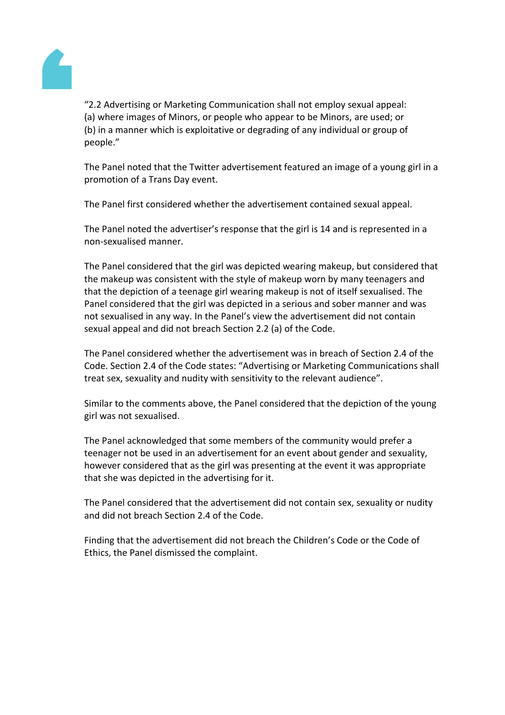

"2.2 Advertising or Marketing Communication shall not employ sexual appeal: (a) where images of Minors, or people who appear to be Minors, are used; or (b) in a manner which is exploitative or degrading of any individual or group of people."

The Panel noted that the Twitter advertisement featured an image of a young girl in a promotion of a Trans Day event.

The Panel first considered whether the advertisement contained sexual appeal.

The Panel noted the advertiser's response that the girl is 14 and is represented in a non-sexualised manner.

The Panel considered that the girl was depicted wearing makeup, but considered that the makeup was consistent with the style of makeup worn by many teenagers and that the depiction of a teenage girl wearing makeup is not of itself sexualised. The Panel considered that the girl was depicted in a serious and sober manner and was not sexualised in any way. In the Panel's view the advertisement did not contain sexual appeal and did not breach Section 2.2 (a) of the Code.

The Panel considered whether the advertisement was in breach of Section 2.4 of the Code. Section 2.4 of the Code states: "Advertising or Marketing Communications shall treat sex, sexuality and nudity with sensitivity to the relevant audience".

Similar to the comments above, the Panel considered that the depiction of the young girl was not sexualised.

The Panel acknowledged that some members of the community would prefer a teenager not be used in an advertisement for an event about gender and sexuality, however considered that as the girl was presenting at the event it was appropriate that she was depicted in the advertising for it.

The Panel considered that the advertisement did not contain sex, sexuality or nudity and did not breach Section 2.4 of the Code.

Finding that the advertisement did not breach the Children's Code or the Code of Ethics, the Panel dismissed the complaint.